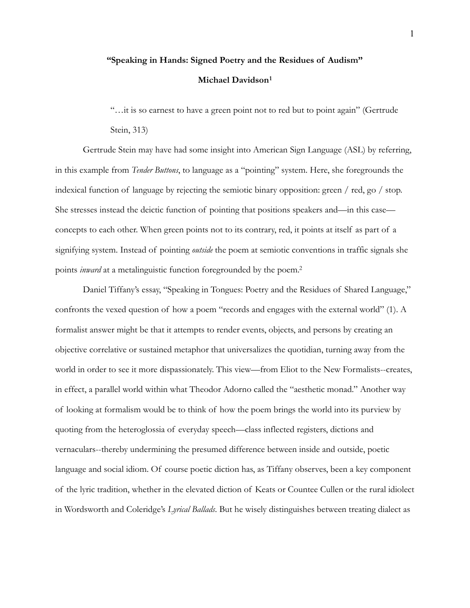## **"Speaking in Hands: Signed Poetry and the Residues of Audism" Michael Davidson[1](#page-7-0)**

<span id="page-0-0"></span> "…it is so earnest to have a green point not to red but to point again" (Gertrude Stein, 313)

 Gertrude Stein may have had some insight into American Sign Language (ASL) by referring, in this example from *Tender Buttons*, to language as a "pointing" system. Here, she foregrounds the indexical function of language by rejecting the semiotic binary opposition: green / red, go / stop. She stresses instead the deictic function of pointing that positions speakers and—in this case concepts to each other. When green points not to its contrary, red, it points at itself as part of a signifying system. Instead of pointing *outside* the poem at semiotic conventions in traffic signals she points *inward* at a metalinguistic function foregrounded by the poem[.2](#page-7-1)

<span id="page-0-1"></span> Daniel Tiffany's essay, "Speaking in Tongues: Poetry and the Residues of Shared Language," confronts the vexed question of how a poem "records and engages with the external world" (1). A formalist answer might be that it attempts to render events, objects, and persons by creating an objective correlative or sustained metaphor that universalizes the quotidian, turning away from the world in order to see it more dispassionately. This view—from Eliot to the New Formalists--creates, in effect, a parallel world within what Theodor Adorno called the "aesthetic monad." Another way of looking at formalism would be to think of how the poem brings the world into its purview by quoting from the heteroglossia of everyday speech—class inflected registers, dictions and vernaculars--thereby undermining the presumed difference between inside and outside, poetic language and social idiom. Of course poetic diction has, as Tiffany observes, been a key component of the lyric tradition, whether in the elevated diction of Keats or Countee Cullen or the rural idiolect in Wordsworth and Coleridge's *Lyrical Ballads*. But he wisely distinguishes between treating dialect as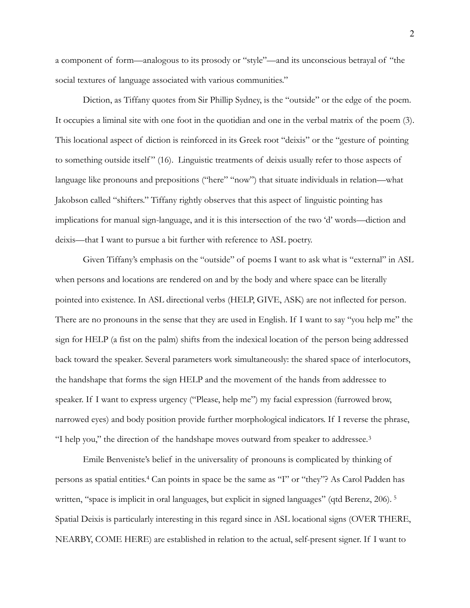a component of form—analogous to its prosody or "style"—and its unconscious betrayal of "the social textures of language associated with various communities."

 Diction, as Tiffany quotes from Sir Phillip Sydney, is the "outside" or the edge of the poem. It occupies a liminal site with one foot in the quotidian and one in the verbal matrix of the poem (3). This locational aspect of diction is reinforced in its Greek root "deixis" or the "gesture of pointing to something outside itself" (16). Linguistic treatments of deixis usually refer to those aspects of language like pronouns and prepositions ("here" "now") that situate individuals in relation—what Jakobson called "shifters." Tiffany rightly observes that this aspect of linguistic pointing has implications for manual sign-language, and it is this intersection of the two 'd' words—diction and deixis—that I want to pursue a bit further with reference to ASL poetry.

 Given Tiffany's emphasis on the "outside" of poems I want to ask what is "external" in ASL when persons and locations are rendered on and by the body and where space can be literally pointed into existence. In ASL directional verbs (HELP, GIVE, ASK) are not inflected for person. There are no pronouns in the sense that they are used in English. If I want to say "you help me" the sign for HELP (a fist on the palm) shifts from the indexical location of the person being addressed back toward the speaker. Several parameters work simultaneously: the shared space of interlocutors, the handshape that forms the sign HELP and the movement of the hands from addressee to speaker. If I want to express urgency ("Please, help me") my facial expression (furrowed brow, narrowed eyes) and body position provide further morphological indicators. If I reverse the phrase, "I help you," the direction of the handshape moves outward from speaker to addressee. [3](#page-7-2)

<span id="page-1-2"></span><span id="page-1-1"></span><span id="page-1-0"></span> Emile Benveniste's belief in the universality of pronouns is complicated by thinking of personsas spatial entities.<sup>[4](#page-7-3)</sup> Can points in space be the same as "I" or "they"? As Carol Padden has written, "space is implicit in oral languages, but explicit in signed languages" (qtd Berenz, 206). [5](#page-7-4) Spatial Deixis is particularly interesting in this regard since in ASL locational signs (OVER THERE, NEARBY, COME HERE) are established in relation to the actual, self-present signer. If I want to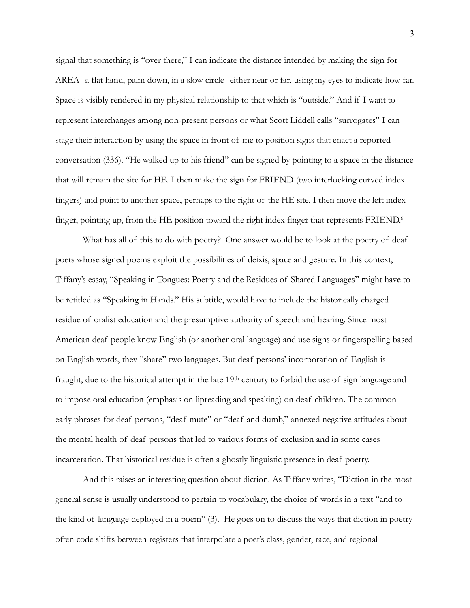signal that something is "over there," I can indicate the distance intended by making the sign for AREA--a flat hand, palm down, in a slow circle--either near or far, using my eyes to indicate how far. Space is visibly rendered in my physical relationship to that which is "outside." And if I want to represent interchanges among non-present persons or what Scott Liddell calls "surrogates" I can stage their interaction by using the space in front of me to position signs that enact a reported conversation (336). "He walked up to his friend" can be signed by pointing to a space in the distance that will remain the site for HE. I then make the sign for FRIEND (two interlocking curved index fingers) and point to another space, perhaps to the right of the HE site. I then move the left index finger, pointing up, from the HE position toward the right index finger that represents FRIEND[.](#page-7-5)<sup>[6](#page-7-5)</sup>

<span id="page-2-0"></span> What has all of this to do with poetry? One answer would be to look at the poetry of deaf poets whose signed poems exploit the possibilities of deixis, space and gesture. In this context, Tiffany's essay, "Speaking in Tongues: Poetry and the Residues of Shared Languages" might have to be retitled as "Speaking in Hands." His subtitle, would have to include the historically charged residue of oralist education and the presumptive authority of speech and hearing. Since most American deaf people know English (or another oral language) and use signs or fingerspelling based on English words, they "share" two languages. But deaf persons' incorporation of English is fraught, due to the historical attempt in the late 19th century to forbid the use of sign language and to impose oral education (emphasis on lipreading and speaking) on deaf children. The common early phrases for deaf persons, "deaf mute" or "deaf and dumb," annexed negative attitudes about the mental health of deaf persons that led to various forms of exclusion and in some cases incarceration. That historical residue is often a ghostly linguistic presence in deaf poetry.

 And this raises an interesting question about diction. As Tiffany writes, "Diction in the most general sense is usually understood to pertain to vocabulary, the choice of words in a text "and to the kind of language deployed in a poem" (3). He goes on to discuss the ways that diction in poetry often code shifts between registers that interpolate a poet's class, gender, race, and regional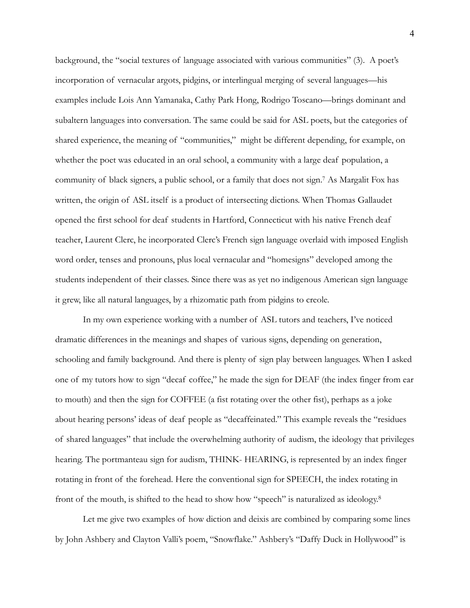<span id="page-3-0"></span>background, the "social textures of language associated with various communities" (3). A poet's incorporation of vernacular argots, pidgins, or interlingual merging of several languages—his examples include Lois Ann Yamanaka, Cathy Park Hong, Rodrigo Toscano—brings dominant and subaltern languages into conversation. The same could be said for ASL poets, but the categories of shared experience, the meaning of "communities," might be different depending, for example, on whether the poet was educated in an oral school, a community with a large deaf population, a community of black signers, a public school, or a family that does not sign.<sup>[7](#page-7-6)</sup> As Margalit Fox has written, the origin of ASL itself is a product of intersecting dictions. When Thomas Gallaudet opened the first school for deaf students in Hartford, Connecticut with his native French deaf teacher, Laurent Clerc, he incorporated Clerc's French sign language overlaid with imposed English word order, tenses and pronouns, plus local vernacular and "homesigns" developed among the students independent of their classes. Since there was as yet no indigenous American sign language it grew, like all natural languages, by a rhizomatic path from pidgins to creole.

 In my own experience working with a number of ASL tutors and teachers, I've noticed dramatic differences in the meanings and shapes of various signs, depending on generation, schooling and family background. And there is plenty of sign play between languages. When I asked one of my tutors how to sign "decaf coffee," he made the sign for DEAF (the index finger from ear to mouth) and then the sign for COFFEE (a fist rotating over the other fist), perhaps as a joke about hearing persons' ideas of deaf people as "decaffeinated." This example reveals the "residues of shared languages" that include the overwhelming authority of audism, the ideology that privileges hearing. The portmanteau sign for audism, THINK- HEARING, is represented by an index finger rotating in front of the forehead. Here the conventional sign for SPEECH, the index rotating in front of the mouth, is shifted to the head to show how "speech" is naturalized as ideology.<sup>8</sup>

<span id="page-3-1"></span> Let me give two examples of how diction and deixis are combined by comparing some lines by John Ashbery and Clayton Valli's poem, "Snowflake." Ashbery's "Daffy Duck in Hollywood" is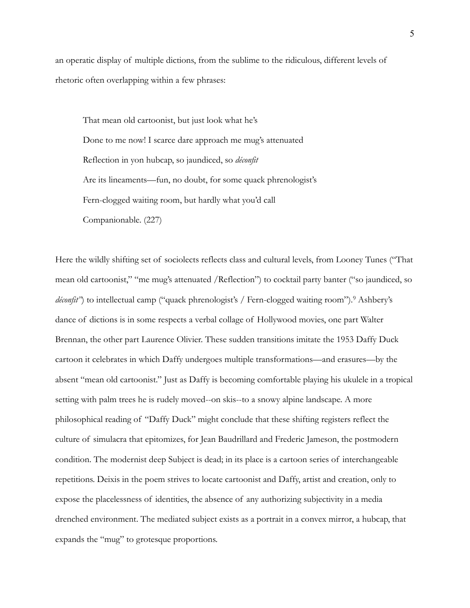an operatic display of multiple dictions, from the sublime to the ridiculous, different levels of rhetoric often overlapping within a few phrases:

That mean old cartoonist, but just look what he's Done to me now! I scarce dare approach me mug's attenuated Reflection in yon hubcap, so jaundiced, so *déconfit*  Are its lineaments—fun, no doubt, for some quack phrenologist's Fern-clogged waiting room, but hardly what you'd call Companionable. (227)

<span id="page-4-0"></span>Here the wildly shifting set of sociolects reflects class and cultural levels, from Looney Tunes ("That mean old cartoonist," "me mug's attenuated /Reflection") to cocktail party banter ("so jaundiced, so *déconfit*")to intellectual camp ("quack phrenologist's / Fern-clogged waiting room").<sup>[9](#page-7-8)</sup> Ashbery's dance of dictions is in some respects a verbal collage of Hollywood movies, one part Walter Brennan, the other part Laurence Olivier. These sudden transitions imitate the 1953 Daffy Duck cartoon it celebrates in which Daffy undergoes multiple transformations—and erasures—by the absent "mean old cartoonist." Just as Daffy is becoming comfortable playing his ukulele in a tropical setting with palm trees he is rudely moved--on skis--to a snowy alpine landscape. A more philosophical reading of "Daffy Duck" might conclude that these shifting registers reflect the culture of simulacra that epitomizes, for Jean Baudrillard and Frederic Jameson, the postmodern condition. The modernist deep Subject is dead; in its place is a cartoon series of interchangeable repetitions. Deixis in the poem strives to locate cartoonist and Daffy, artist and creation, only to expose the placelessness of identities, the absence of any authorizing subjectivity in a media drenched environment. The mediated subject exists as a portrait in a convex mirror, a hubcap, that expands the "mug" to grotesque proportions.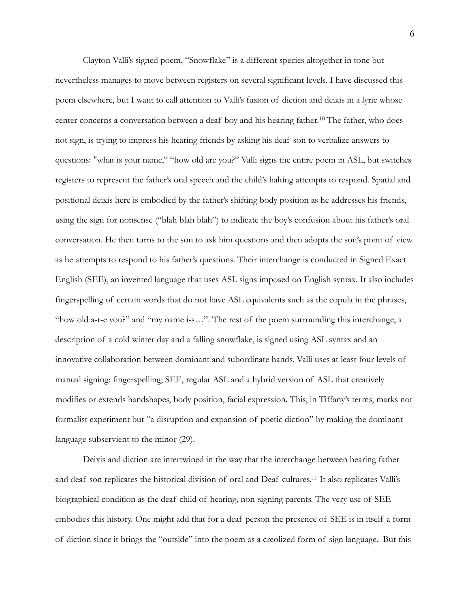<span id="page-5-0"></span> Clayton Valli's signed poem, "Snowflake" is a different species altogether in tone but nevertheless manages to move between registers on several significant levels. I have discussed this poem elsewhere, but I want to call attention to Valli's fusion of diction and deixis in a lyric whose center concerns a conversation between a deaf boy and his hearing father.<sup>[10](#page-7-9)</sup> The father, who does not sign, is trying to impress his hearing friends by asking his deaf son to verbalize answers to questions: "what is your name," "how old are you?" Valli signs the entire poem in ASL, but switches registers to represent the father's oral speech and the child's halting attempts to respond. Spatial and positional deixis here is embodied by the father's shifting body position as he addresses his friends, using the sign for nonsense ("blah blah blah") to indicate the boy's confusion about his father's oral conversation. He then turns to the son to ask him questions and then adopts the son's point of view as he attempts to respond to his father's questions. Their interchange is conducted in Signed Exact English (SEE), an invented language that uses ASL signs imposed on English syntax. It also includes fingerspelling of certain words that do not have ASL equivalents such as the copula in the phrases, "how old a-r-e you?" and "my name i-s…". The rest of the poem surrounding this interchange, a description of a cold winter day and a falling snowflake, is signed using ASL syntax and an innovative collaboration between dominant and subordinate hands. Valli uses at least four levels of manual signing: fingerspelling, SEE, regular ASL and a hybrid version of ASL that creatively modifies or extends handshapes, body position, facial expression. This, in Tiffany's terms, marks not formalist experiment but "a disruption and expansion of poetic diction" by making the dominant language subservient to the minor (29).

<span id="page-5-1"></span> Deixis and diction are intertwined in the way that the interchange between hearing father and deaf son replicates the historical division of oral and Deaf cultures.<sup>[11](#page-7-10)</sup> It also replicates Valli's biographical condition as the deaf child of hearing, non-signing parents. The very use of SEE embodies this history. One might add that for a deaf person the presence of SEE is in itself a form of diction since it brings the "outside" into the poem as a creolized form of sign language. But this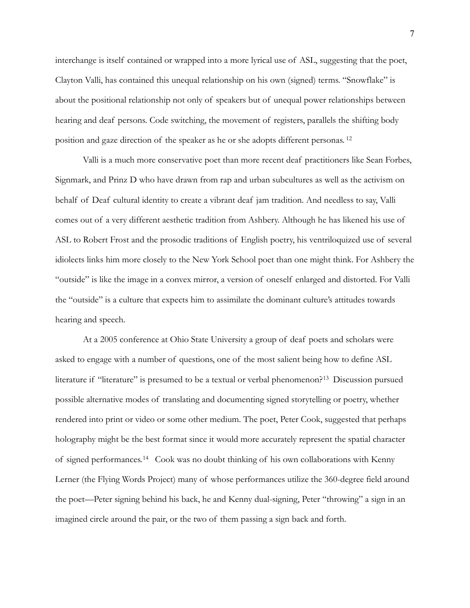interchange is itself contained or wrapped into a more lyrical use of ASL, suggesting that the poet, Clayton Valli, has contained this unequal relationship on his own (signed) terms. "Snowflake" is about the positional relationship not only of speakers but of unequal power relationships between hearing and deaf persons. Code switching, the movement of registers, parallels the shifting body position and gaze direction of the speaker as he or she adopts different personas. [12](#page-7-11)

<span id="page-6-0"></span> Valli is a much more conservative poet than more recent deaf practitioners like Sean Forbes, Signmark, and Prinz D who have drawn from rap and urban subcultures as well as the activism on behalf of Deaf cultural identity to create a vibrant deaf jam tradition. And needless to say, Valli comes out of a very different aesthetic tradition from Ashbery. Although he has likened his use of ASL to Robert Frost and the prosodic traditions of English poetry, his ventriloquized use of several idiolects links him more closely to the New York School poet than one might think. For Ashbery the "outside" is like the image in a convex mirror, a version of oneself enlarged and distorted. For Valli the "outside" is a culture that expects him to assimilate the dominant culture's attitudes towards hearing and speech.

<span id="page-6-2"></span><span id="page-6-1"></span> At a 2005 conference at Ohio State University a group of deaf poets and scholars were asked to engage with a number of questions, one of the most salient being how to define ASL literature if "literature" is presumed to be a textual or verbal phenomenon?<sup>[13](#page-7-12)</sup> Discussion pursued possible alternative modes of translating and documenting signed storytelling or poetry, whether rendered into print or video or some other medium. The poet, Peter Cook, suggested that perhaps holography might be the best format since it would more accurately represent the spatial character of signed performances.<sup>[14](#page-8-0)</sup> Cook was no doubt thinking of his own collaborations with Kenny Lerner (the Flying Words Project) many of whose performances utilize the 360-degree field around the poet—Peter signing behind his back, he and Kenny dual-signing, Peter "throwing" a sign in an imagined circle around the pair, or the two of them passing a sign back and forth.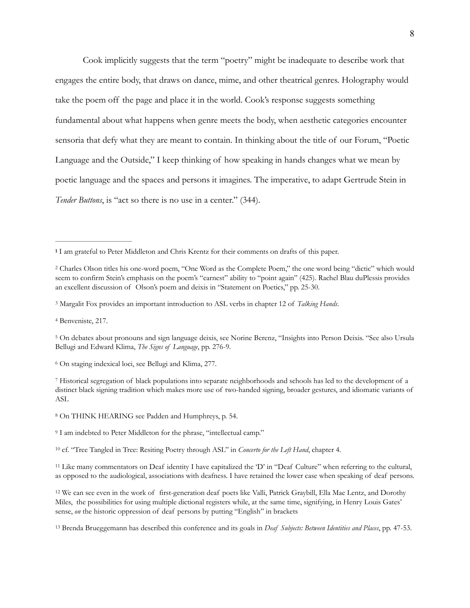Cook implicitly suggests that the term "poetry" might be inadequate to describe work that engages the entire body, that draws on dance, mime, and other theatrical genres. Holography would take the poem off the page and place it in the world. Cook's response suggests something fundamental about what happens when genre meets the body, when aesthetic categories encounter sensoria that defy what they are meant to contain. In thinking about the title of our Forum, "Poetic Language and the Outside," I keep thinking of how speaking in hands changes what we mean by poetic language and the spaces and persons it imagines. The imperative, to adapt Gertrude Stein in *Tender Buttons*, is "act so there is no use in a center." (344).

<span id="page-7-3"></span><sup>[4](#page-1-1)</sup> Benveniste, 217.

<span id="page-7-5"></span><sup>[6](#page-2-0)</sup> On staging indexical loci, see Bellugi and Klima, 277.

<span id="page-7-8"></span>[9](#page-4-0) I am indebted to Peter Middleton for the phrase, "intellectual camp."

<span id="page-7-9"></span><sup>[10](#page-5-0)</sup> cf. "Tree Tangled in Tree: Resiting Poetry through ASL" in *Concerto for the Left Hand*, chapter 4.

<span id="page-7-10"></span><sup>[11](#page-5-1)</sup> Like many commentators on Deaf identity I have capitalized the 'D' in "Deaf Culture" when referring to the cultural, as opposed to the audiological, associations with deafness. I have retained the lower case when speaking of deaf persons.

<span id="page-7-11"></span> We can see even in the work of first-generation deaf poets like Valli, Patrick Graybill, Ella Mae Lentz, and Dorothy [12](#page-6-0) Miles, the possibilities for using multiple dictional registers while, at the same time, signifying, in Henry Louis Gates' sense, *on* the historic oppression of deaf persons by putting "English" in brackets

<span id="page-7-12"></span><sup>[13](#page-6-1)</sup> Brenda Brueggemann has described this conference and its goals in *Deaf Subjects: Between Identities and Places*, pp. 47-53.

<span id="page-7-0"></span>I am grateful to Peter Middleton and Chris Krentz for their comments on drafts of this paper. **[1](#page-0-0)**

<span id="page-7-1"></span>Charles Olson titles his one-word poem, "One Word as the Complete Poem," the one word being "dictic" which would [2](#page-0-1) seem to confirm Stein's emphasis on the poem's "earnest" ability to "point again" (425). Rachel Blau duPlessis provides an excellent discussion of Olson's poem and deixis in "Statement on Poetics," pp. 25-30.

<span id="page-7-2"></span>Margalit Fox provides an important introduction to ASL verbs in chapter 12 of *Talking Hands*. [3](#page-1-0)

<span id="page-7-4"></span>On debates about pronouns and sign language deixis, see Norine Berenz, "Insights into Person Deixis. "See also Ursula [5](#page-1-2) Bellugi and Edward Klima, *The Signs of Language*, pp. 276-9.

<span id="page-7-6"></span>Historical segregation of black populations into separate neighborhoods and schools has led to the development of a [7](#page-3-0) distinct black signing tradition which makes more use of two-handed signing, broader gestures, and idiomatic variants of ASL

<span id="page-7-7"></span>On THINK HEARING see Padden and Humphreys, p. 54. [8](#page-3-1)